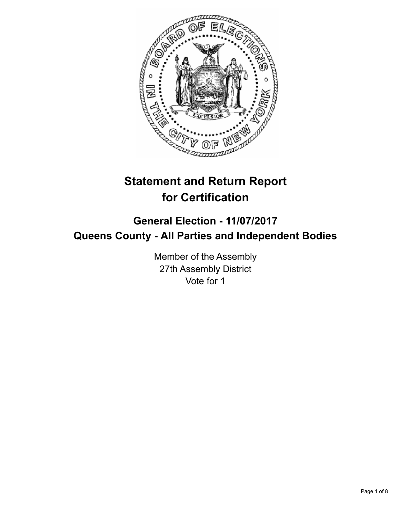

# **Statement and Return Report for Certification**

# **General Election - 11/07/2017 Queens County - All Parties and Independent Bodies**

Member of the Assembly 27th Assembly District Vote for 1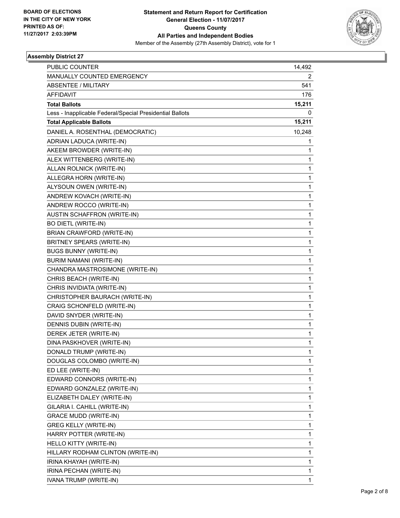

## **Assembly District 27**

| <b>PUBLIC COUNTER</b>                                    | 14,492 |
|----------------------------------------------------------|--------|
| MANUALLY COUNTED EMERGENCY                               | 2      |
| <b>ABSENTEE / MILITARY</b>                               | 541    |
| <b>AFFIDAVIT</b>                                         | 176    |
| <b>Total Ballots</b>                                     | 15,211 |
| Less - Inapplicable Federal/Special Presidential Ballots | 0      |
| <b>Total Applicable Ballots</b>                          | 15,211 |
| DANIEL A. ROSENTHAL (DEMOCRATIC)                         | 10,248 |
| ADRIAN LADUCA (WRITE-IN)                                 | 1      |
| AKEEM BROWDER (WRITE-IN)                                 | 1      |
| ALEX WITTENBERG (WRITE-IN)                               | 1      |
| ALLAN ROLNICK (WRITE-IN)                                 | 1      |
| ALLEGRA HORN (WRITE-IN)                                  | 1      |
| ALYSOUN OWEN (WRITE-IN)                                  | 1      |
| ANDREW KOVACH (WRITE-IN)                                 | 1      |
| ANDREW ROCCO (WRITE-IN)                                  | 1      |
| AUSTIN SCHAFFRON (WRITE-IN)                              | 1      |
| <b>BO DIETL (WRITE-IN)</b>                               | 1      |
| BRIAN CRAWFORD (WRITE-IN)                                | 1      |
| BRITNEY SPEARS (WRITE-IN)                                | 1      |
| <b>BUGS BUNNY (WRITE-IN)</b>                             | 1      |
| BURIM NAMANI (WRITE-IN)                                  | 1      |
| CHANDRA MASTROSIMONE (WRITE-IN)                          | 1      |
| CHRIS BEACH (WRITE-IN)                                   | 1      |
| CHRIS INVIDIATA (WRITE-IN)                               | 1      |
| CHRISTOPHER BAURACH (WRITE-IN)                           | 1      |
| CRAIG SCHONFELD (WRITE-IN)                               | 1      |
| DAVID SNYDER (WRITE-IN)                                  | 1      |
| DENNIS DUBIN (WRITE-IN)                                  | 1      |
| DEREK JETER (WRITE-IN)                                   | 1      |
| DINA PASKHOVER (WRITE-IN)                                | 1      |
| DONALD TRUMP (WRITE-IN)                                  | 1      |
| DOUGLAS COLOMBO (WRITE-IN)                               | 1      |
| ED LEE (WRITE-IN)                                        | 1      |
| EDWARD CONNORS (WRITE-IN)                                | 1      |
| EDWARD GONZALEZ (WRITE-IN)                               | 1      |
| ELIZABETH DALEY (WRITE-IN)                               | 1      |
| GILARIA I. CAHILL (WRITE-IN)                             | 1      |
| <b>GRACE MUDD (WRITE-IN)</b>                             | 1      |
| <b>GREG KELLY (WRITE-IN)</b>                             | 1      |
| HARRY POTTER (WRITE-IN)                                  | 1      |
| HELLO KITTY (WRITE-IN)                                   | 1      |
| HILLARY RODHAM CLINTON (WRITE-IN)                        | 1      |
| IRINA KHAYAH (WRITE-IN)                                  | 1      |
| IRINA PECHAN (WRITE-IN)                                  | 1      |
| IVANA TRUMP (WRITE-IN)                                   | 1      |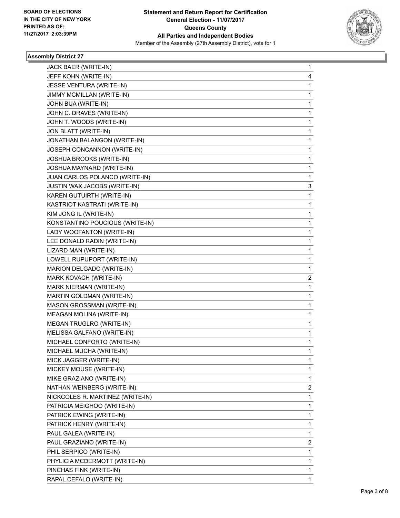

## **Assembly District 27**

| JACK BAER (WRITE-IN)             | 1 |
|----------------------------------|---|
| JEFF KOHN (WRITE-IN)             | 4 |
| JESSE VENTURA (WRITE-IN)         | 1 |
| JIMMY MCMILLAN (WRITE-IN)        | 1 |
| JOHN BUA (WRITE-IN)              | 1 |
| JOHN C. DRAVES (WRITE-IN)        | 1 |
| JOHN T. WOODS (WRITE-IN)         | 1 |
| JON BLATT (WRITE-IN)             | 1 |
| JONATHAN BALANGON (WRITE-IN)     | 1 |
| JOSEPH CONCANNON (WRITE-IN)      | 1 |
| JOSHUA BROOKS (WRITE-IN)         | 1 |
| JOSHUA MAYNARD (WRITE-IN)        | 1 |
| JUAN CARLOS POLANCO (WRITE-IN)   | 1 |
| JUSTIN WAX JACOBS (WRITE-IN)     | 3 |
| KAREN GUTUIRTH (WRITE-IN)        | 1 |
| KASTRIOT KASTRATI (WRITE-IN)     | 1 |
| KIM JONG IL (WRITE-IN)           | 1 |
| KONSTANTINO POUCIOUS (WRITE-IN)  | 1 |
| LADY WOOFANTON (WRITE-IN)        | 1 |
| LEE DONALD RADIN (WRITE-IN)      | 1 |
| LIZARD MAN (WRITE-IN)            | 1 |
| LOWELL RUPUPORT (WRITE-IN)       | 1 |
| MARION DELGADO (WRITE-IN)        | 1 |
| MARK KOVACH (WRITE-IN)           | 2 |
| MARK NIERMAN (WRITE-IN)          | 1 |
| MARTIN GOLDMAN (WRITE-IN)        | 1 |
| MASON GROSSMAN (WRITE-IN)        | 1 |
| MEAGAN MOLINA (WRITE-IN)         | 1 |
| MEGAN TRUGLRO (WRITE-IN)         | 1 |
| MELISSA GALFANO (WRITE-IN)       | 1 |
| MICHAEL CONFORTO (WRITE-IN)      | 1 |
| MICHAEL MUCHA (WRITE-IN)         | 1 |
| MICK JAGGER (WRITE-IN)           | 1 |
| MICKEY MOUSE (WRITE-IN)          | 1 |
| MIKE GRAZIANO (WRITE-IN)         | 1 |
| NATHAN WEINBERG (WRITE-IN)       | 2 |
| NICKCOLES R. MARTINEZ (WRITE-IN) | 1 |
| PATRICIA MEIGHOO (WRITE-IN)      | 1 |
| PATRICK EWING (WRITE-IN)         | 1 |
| PATRICK HENRY (WRITE-IN)         | 1 |
| PAUL GALEA (WRITE-IN)            | 1 |
| PAUL GRAZIANO (WRITE-IN)         | 2 |
| PHIL SERPICO (WRITE-IN)          | 1 |
| PHYLICIA MCDERMOTT (WRITE-IN)    | 1 |
| PINCHAS FINK (WRITE-IN)          | 1 |
| RAPAL CEFALO (WRITE-IN)          | 1 |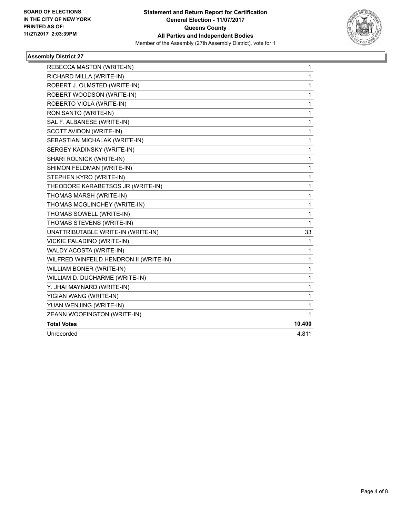

## **Assembly District 27**

| REBECCA MASTON (WRITE-IN)              | 1            |
|----------------------------------------|--------------|
| RICHARD MILLA (WRITE-IN)               | 1            |
| ROBERT J. OLMSTED (WRITE-IN)           | $\mathbf{1}$ |
| ROBERT WOODSON (WRITE-IN)              | 1            |
| ROBERTO VIOLA (WRITE-IN)               | 1            |
| RON SANTO (WRITE-IN)                   | 1            |
| SAL F. ALBANESE (WRITE-IN)             | 1            |
| SCOTT AVIDON (WRITE-IN)                | 1            |
| SEBASTIAN MICHALAK (WRITE-IN)          | 1            |
| SERGEY KADINSKY (WRITE-IN)             | 1            |
| SHARI ROLNICK (WRITE-IN)               | 1            |
| SHIMON FELDMAN (WRITE-IN)              | 1            |
| STEPHEN KYRO (WRITE-IN)                | 1            |
| THEODORE KARABETSOS JR (WRITE-IN)      | 1            |
| THOMAS MARSH (WRITE-IN)                | 1            |
| THOMAS MCGLINCHEY (WRITE-IN)           | 1            |
| THOMAS SOWELL (WRITE-IN)               | 1            |
| THOMAS STEVENS (WRITE-IN)              | 1            |
| UNATTRIBUTABLE WRITE-IN (WRITE-IN)     | 33           |
| VICKIE PALADINO (WRITE-IN)             | 1            |
| WALDY ACOSTA (WRITE-IN)                | 1            |
| WILFRED WINFEILD HENDRON II (WRITE-IN) | 1            |
| WILLIAM BONER (WRITE-IN)               | 1            |
| WILLIAM D. DUCHARME (WRITE-IN)         | 1            |
| Y. JHAI MAYNARD (WRITE-IN)             | 1            |
| YIGIAN WANG (WRITE-IN)                 | 1            |
| YUAN WENJING (WRITE-IN)                | 1            |
| ZEANN WOOFINGTON (WRITE-IN)            | 1            |
| <b>Total Votes</b>                     | 10,400       |
| Unrecorded                             | 4,811        |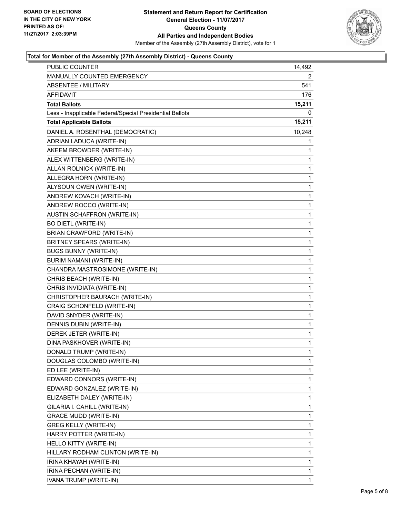

## **Total for Member of the Assembly (27th Assembly District) - Queens County**

| <b>PUBLIC COUNTER</b>                                    | 14,492       |
|----------------------------------------------------------|--------------|
| MANUALLY COUNTED EMERGENCY                               | 2            |
| <b>ABSENTEE / MILITARY</b>                               | 541          |
| AFFIDAVIT                                                | 176          |
| <b>Total Ballots</b>                                     | 15,211       |
| Less - Inapplicable Federal/Special Presidential Ballots | 0            |
| <b>Total Applicable Ballots</b>                          | 15,211       |
| DANIEL A. ROSENTHAL (DEMOCRATIC)                         | 10,248       |
| ADRIAN LADUCA (WRITE-IN)                                 | 1            |
| AKEEM BROWDER (WRITE-IN)                                 | 1            |
| ALEX WITTENBERG (WRITE-IN)                               | 1            |
| ALLAN ROLNICK (WRITE-IN)                                 | 1            |
| ALLEGRA HORN (WRITE-IN)                                  | 1            |
| ALYSOUN OWEN (WRITE-IN)                                  | 1            |
| ANDREW KOVACH (WRITE-IN)                                 | 1            |
| ANDREW ROCCO (WRITE-IN)                                  | 1            |
| AUSTIN SCHAFFRON (WRITE-IN)                              | 1            |
| <b>BO DIETL (WRITE-IN)</b>                               | 1            |
| <b>BRIAN CRAWFORD (WRITE-IN)</b>                         | 1            |
| BRITNEY SPEARS (WRITE-IN)                                | 1            |
| <b>BUGS BUNNY (WRITE-IN)</b>                             | 1            |
| BURIM NAMANI (WRITE-IN)                                  | 1            |
| CHANDRA MASTROSIMONE (WRITE-IN)                          | 1            |
| CHRIS BEACH (WRITE-IN)                                   | 1            |
| CHRIS INVIDIATA (WRITE-IN)                               | 1            |
| CHRISTOPHER BAURACH (WRITE-IN)                           | 1            |
| CRAIG SCHONFELD (WRITE-IN)                               | 1            |
| DAVID SNYDER (WRITE-IN)                                  | 1            |
| DENNIS DUBIN (WRITE-IN)                                  | 1            |
| DEREK JETER (WRITE-IN)                                   | 1            |
| DINA PASKHOVER (WRITE-IN)                                | 1            |
| DONALD TRUMP (WRITE-IN)                                  | $\mathbf{1}$ |
| DOUGLAS COLOMBO (WRITE-IN)                               | 1            |
| ED LEE (WRITE-IN)                                        | 1            |
| EDWARD CONNORS (WRITE-IN)                                | 1            |
| EDWARD GONZALEZ (WRITE-IN)                               | 1            |
| ELIZABETH DALEY (WRITE-IN)                               | 1            |
| GILARIA I. CAHILL (WRITE-IN)                             | 1            |
| <b>GRACE MUDD (WRITE-IN)</b>                             | 1            |
| <b>GREG KELLY (WRITE-IN)</b>                             | 1            |
| HARRY POTTER (WRITE-IN)                                  | 1            |
| HELLO KITTY (WRITE-IN)                                   | 1            |
| HILLARY RODHAM CLINTON (WRITE-IN)                        | 1            |
| IRINA KHAYAH (WRITE-IN)                                  | 1            |
| IRINA PECHAN (WRITE-IN)                                  | 1            |
| IVANA TRUMP (WRITE-IN)                                   | 1            |
|                                                          |              |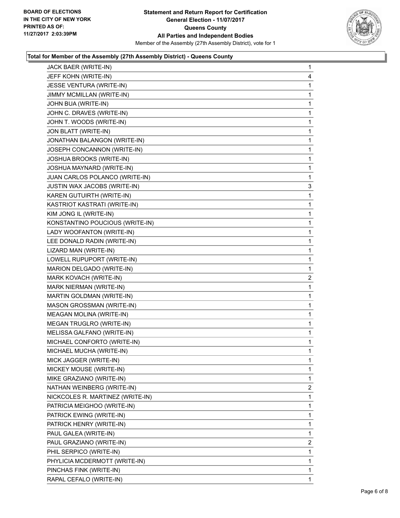

## **Total for Member of the Assembly (27th Assembly District) - Queens County**

| JACK BAER (WRITE-IN)             | $\mathbf{1}$ |
|----------------------------------|--------------|
| JEFF KOHN (WRITE-IN)             | 4            |
| JESSE VENTURA (WRITE-IN)         | 1            |
| JIMMY MCMILLAN (WRITE-IN)        | 1            |
| JOHN BUA (WRITE-IN)              | 1            |
| JOHN C. DRAVES (WRITE-IN)        | 1            |
| JOHN T. WOODS (WRITE-IN)         | 1            |
| JON BLATT (WRITE-IN)             | 1            |
| JONATHAN BALANGON (WRITE-IN)     | 1            |
| JOSEPH CONCANNON (WRITE-IN)      | 1            |
| JOSHUA BROOKS (WRITE-IN)         | 1            |
| JOSHUA MAYNARD (WRITE-IN)        | 1            |
| JUAN CARLOS POLANCO (WRITE-IN)   | 1            |
| JUSTIN WAX JACOBS (WRITE-IN)     | 3            |
| KAREN GUTUIRTH (WRITE-IN)        | 1            |
| KASTRIOT KASTRATI (WRITE-IN)     | 1            |
| KIM JONG IL (WRITE-IN)           | 1            |
| KONSTANTINO POUCIOUS (WRITE-IN)  | 1            |
| LADY WOOFANTON (WRITE-IN)        | 1            |
| LEE DONALD RADIN (WRITE-IN)      | 1            |
| LIZARD MAN (WRITE-IN)            | 1            |
| LOWELL RUPUPORT (WRITE-IN)       | 1            |
| MARION DELGADO (WRITE-IN)        | 1            |
|                                  |              |
| MARK KOVACH (WRITE-IN)           | $\mathbf{2}$ |
| MARK NIERMAN (WRITE-IN)          | 1            |
| MARTIN GOLDMAN (WRITE-IN)        | 1            |
| MASON GROSSMAN (WRITE-IN)        | 1            |
| MEAGAN MOLINA (WRITE-IN)         | 1            |
| MEGAN TRUGLRO (WRITE-IN)         | 1            |
| MELISSA GALFANO (WRITE-IN)       | 1            |
| MICHAEL CONFORTO (WRITE-IN)      | 1            |
| MICHAEL MUCHA (WRITE-IN)         | 1            |
| MICK JAGGER (WRITE-IN)           | 1            |
| MICKEY MOUSE (WRITE-IN)          | 1            |
| MIKE GRAZIANO (WRITE-IN)         | 1            |
| NATHAN WEINBERG (WRITE-IN)       | 2            |
| NICKCOLES R. MARTINEZ (WRITE-IN) | 1            |
| PATRICIA MEIGHOO (WRITE-IN)      | 1            |
| PATRICK EWING (WRITE-IN)         | 1            |
| PATRICK HENRY (WRITE-IN)         | 1            |
| PAUL GALEA (WRITE-IN)            | 1            |
| PAUL GRAZIANO (WRITE-IN)         | 2            |
| PHIL SERPICO (WRITE-IN)          | 1            |
| PHYLICIA MCDERMOTT (WRITE-IN)    | 1            |
| PINCHAS FINK (WRITE-IN)          | 1            |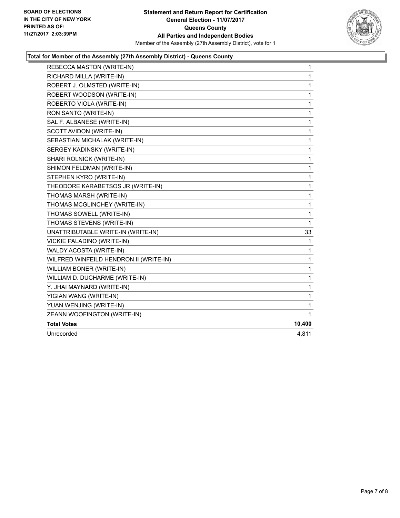

## **Total for Member of the Assembly (27th Assembly District) - Queens County**

| REBECCA MASTON (WRITE-IN)              | $\mathbf{1}$ |
|----------------------------------------|--------------|
| RICHARD MILLA (WRITE-IN)               | 1            |
| ROBERT J. OLMSTED (WRITE-IN)           | 1            |
| ROBERT WOODSON (WRITE-IN)              | 1            |
| ROBERTO VIOLA (WRITE-IN)               | 1            |
| RON SANTO (WRITE-IN)                   | 1            |
| SAL F. ALBANESE (WRITE-IN)             | 1            |
| SCOTT AVIDON (WRITE-IN)                | 1            |
| SEBASTIAN MICHALAK (WRITE-IN)          | 1            |
| SERGEY KADINSKY (WRITE-IN)             | 1            |
| SHARI ROLNICK (WRITE-IN)               | 1            |
| SHIMON FELDMAN (WRITE-IN)              | 1            |
| STEPHEN KYRO (WRITE-IN)                | 1            |
| THEODORE KARABETSOS JR (WRITE-IN)      | 1            |
| THOMAS MARSH (WRITE-IN)                | $\mathbf{1}$ |
| THOMAS MCGLINCHEY (WRITE-IN)           | 1            |
| THOMAS SOWELL (WRITE-IN)               | 1            |
| THOMAS STEVENS (WRITE-IN)              | 1            |
| UNATTRIBUTABLE WRITE-IN (WRITE-IN)     | 33           |
| VICKIE PALADINO (WRITE-IN)             | 1            |
| WALDY ACOSTA (WRITE-IN)                | 1            |
| WILFRED WINFEILD HENDRON II (WRITE-IN) | 1            |
| WILLIAM BONER (WRITE-IN)               | 1            |
| WILLIAM D. DUCHARME (WRITE-IN)         | 1            |
| Y. JHAI MAYNARD (WRITE-IN)             | 1            |
| YIGIAN WANG (WRITE-IN)                 | 1            |
| YUAN WENJING (WRITE-IN)                | 1            |
| ZEANN WOOFINGTON (WRITE-IN)            | 1            |
| <b>Total Votes</b>                     | 10,400       |
| Unrecorded                             | 4,811        |
|                                        |              |